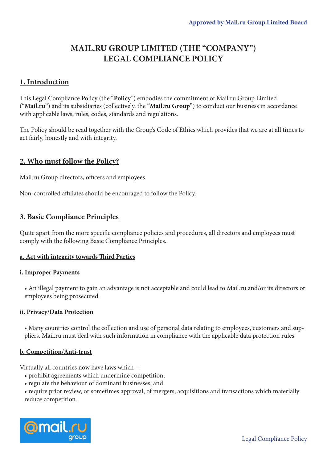# **MAIL.RU GROUP LIMITED (THE "COMPANY") LEGAL COMPLIANCE POLICY**

# **1. Introduction**

This Legal Compliance Policy (the "**Policy**") embodies the commitment of Mail.ru Group Limited ("**Mail.ru**") and its subsidiaries (collectively, the "**Mail.ru Group**") to conduct our business in accordance with applicable laws, rules, codes, standards and regulations.

The Policy should be read together with the Group's Code of Ethics which provides that we are at all times to act fairly, honestly and with integrity.

# **2. Who must follow the Policy?**

Mail.ru Group directors, officers and employees.

Non-controlled affiliates should be encouraged to follow the Policy.

# **3. Basic Compliance Principles**

Quite apart from the more specific compliance policies and procedures, all directors and employees must comply with the following Basic Compliance Principles.

## **a. Act with integrity towards Third Parties**

## **i. Improper Payments**

• An illegal payment to gain an advantage is not acceptable and could lead to Mail.ru and/or its directors or employees being prosecuted.

#### **ii. Privacy/Data Protection**

• Many countries control the collection and use of personal data relating to employees, customers and suppliers. Mail.ru must deal with such information in compliance with the applicable data protection rules.

## **b. Competition/Anti-trust**

Virtually all countries now have laws which –

- prohibit agreements which undermine competition;
- regulate the behaviour of dominant businesses; and

• require prior review, or sometimes approval, of mergers, acquisitions and transactions which materially reduce competition.

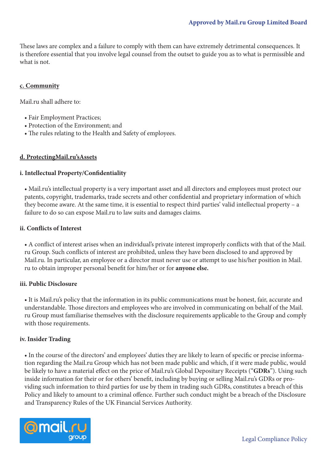These laws are complex and a failure to comply with them can have extremely detrimental consequences. It is therefore essential that you involve legal counsel from the outset to guide you as to what is permissible and what is not.

## **c. Community**

Mail.ru shall adhere to:

- Fair Employment Practices;
- Protection of the Environment; and
- The rules relating to the Health and Safety of employees.

#### **d. ProtectingMail.ru'sAssets**

#### **i. Intellectual Property/Confidentiality**

• Mail.ru's intellectual property is a very important asset and all directors and employees must protect our patents, copyright, trademarks, trade secrets and other confidential and proprietary information of which they become aware. At the same time, it is essential to respect third parties' valid intellectual property – a failure to do so can expose Mail.ru to law suits and damages claims.

#### **ii. Conflicts of Interest**

• A conflict of interest arises when an individual's private interest improperly conflicts with that of the Mail. ru Group. Such conflicts of interest are prohibited, unless they have been disclosed to and approved by Mail.ru. In particular, an employee or a director must never use or attempt to use his/her position in Mail. ru to obtain improper personal benefit for him/her or for **anyone else.**

#### **iii. Public Disclosure**

• It is Mail.ru's policy that the information in its public communications must be honest, fair, accurate and understandable. Those directors and employees who are involved in communicating on behalf of the Mail. ru Group must familiarise themselves with the disclosure requirements applicable to the Group and comply with those requirements.

#### **iv. Insider Trading**

• In the course of the directors' and employees' duties they are likely to learn of specific or precise information regarding the Mail.ru Group which has not been made public and which, if it were made public, would be likely to have a material effect on the price of Mail.ru's Global Depositary Receipts ("**GDRs**"). Using such inside information for their or for others' benefit, including by buying or selling Mail.ru's GDRs or providing such information to third parties for use by them in trading such GDRs, constitutes a breach of this Policy and likely to amount to a criminal offence. Further such conduct might be a breach of the Disclosure and Transparency Rules of the UK Financial Services Authority.